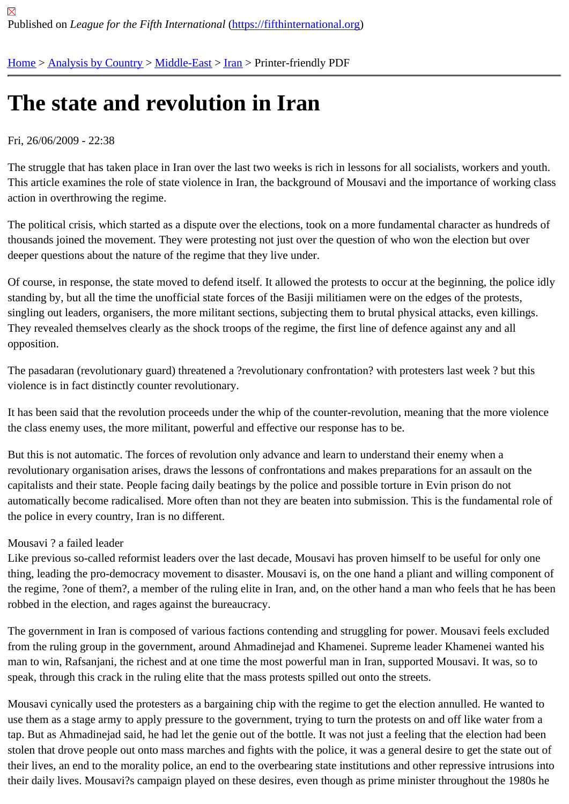# [The](https://fifthinternational.org/) [state and](https://fifthinternational.org/category/1) [revolu](https://fifthinternational.org/category/1/178)t[ion](https://fifthinternational.org/category/1/178/182) in Iran

## Fri, 26/06/2009 - 22:38

The struggle that has taken place in Iran over the last two weeks is rich in lessons for all socialists, workers and yo This article examines the role of state violence in Iran, the background of Mousavi and the importance of working o action in overthrowing the regime.

The political crisis, which started as a dispute over the elections, took on a more fundamental character as hundre thousands joined the movement. They were protesting not just over the question of who won the election but over deeper questions about the nature of the regime that they live under.

Of course, in response, the state moved to defend itself. It allowed the protests to occur at the beginning, the polic standing by, but all the time the unofficial state forces of the Basiji militiamen were on the edges of the protests, singling out leaders, organisers, the more militant sections, subjecting them to brutal physical attacks, even killings. They revealed themselves clearly as the shock troops of the regime, the first line of defence against any and all opposition.

The pasadaran (revolutionary guard) threatened a ?revolutionary confrontation? with protesters last week ? but this violence is in fact distinctly counter revolutionary.

It has been said that the revolution proceeds under the whip of the counter-revolution, meaning that the more viole the class enemy uses, the more militant, powerful and effective our response has to be.

But this is not automatic. The forces of revolution only advance and learn to understand their enemy when a revolutionary organisation arises, draws the lessons of confrontations and makes preparations for an assault on th capitalists and their state. People facing daily beatings by the police and possible torture in Evin prison do not automatically become radicalised. More often than not they are beaten into submission. This is the fundamental ro the police in every country, Iran is no different.

## Mousavi ? a failed leader

Like previous so-called reformist leaders over the last decade, Mousavi has proven himself to be useful for only or thing, leading the pro-democracy movement to disaster. Mousavi is, on the one hand a pliant and willing compone the regime, ?one of them?, a member of the ruling elite in Iran, and, on the other hand a man who feels that he ha robbed in the election, and rages against the bureaucracy.

The government in Iran is composed of various factions contending and struggling for power. Mousavi feels exclud from the ruling group in the government, around Ahmadinejad and Khamenei. Supreme leader Khamenei wanted man to win, Rafsanjani, the richest and at one time the most powerful man in Iran, supported Mousavi. It was, so t speak, through this crack in the ruling elite that the mass protests spilled out onto the streets.

Mousavi cynically used the protesters as a bargaining chip with the regime to get the election annulled. He wanted use them as a stage army to apply pressure to the government, trying to turn the protests on and off like water fror tap. But as Ahmadinejad said, he had let the genie out of the bottle. It was not just a feeling that the election had b stolen that drove people out onto mass marches and fights with the police, it was a general desire to get the state their lives, an end to the morality police, an end to the overbearing state institutions and other repressive intrusions their daily lives. Mousavi?s campaign played on these desires, even though as prime minister throughout the 1980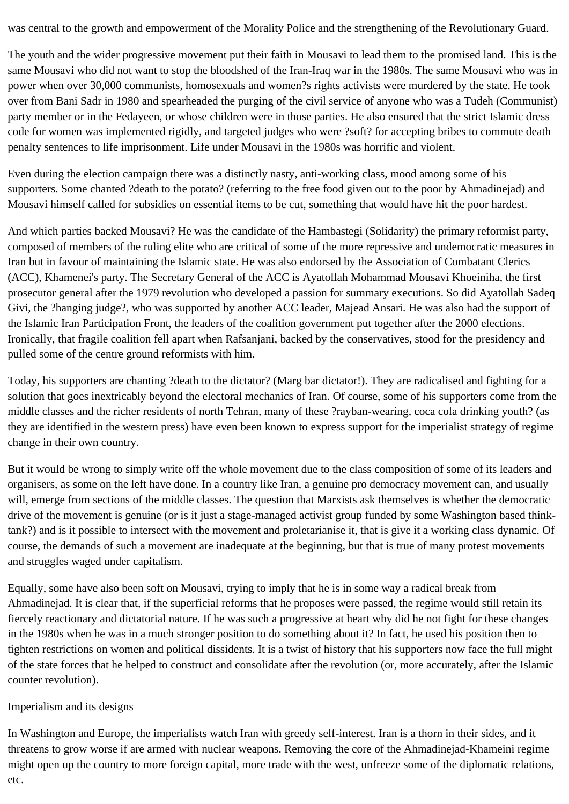was central to the growth and empowerment of the Morality Police and the strengthening of the Revolutionary Guard.

The youth and the wider progressive movement put their faith in Mousavi to lead them to the promised land. This is the same Mousavi who did not want to stop the bloodshed of the Iran-Iraq war in the 1980s. The same Mousavi who was in power when over 30,000 communists, homosexuals and women?s rights activists were murdered by the state. He took over from Bani Sadr in 1980 and spearheaded the purging of the civil service of anyone who was a Tudeh (Communist) party member or in the Fedayeen, or whose children were in those parties. He also ensured that the strict Islamic dress code for women was implemented rigidly, and targeted judges who were ?soft? for accepting bribes to commute death penalty sentences to life imprisonment. Life under Mousavi in the 1980s was horrific and violent.

Even during the election campaign there was a distinctly nasty, anti-working class, mood among some of his supporters. Some chanted ?death to the potato? (referring to the free food given out to the poor by Ahmadinejad) and Mousavi himself called for subsidies on essential items to be cut, something that would have hit the poor hardest.

And which parties backed Mousavi? He was the candidate of the Hambastegi (Solidarity) the primary reformist party, composed of members of the ruling elite who are critical of some of the more repressive and undemocratic measures in Iran but in favour of maintaining the Islamic state. He was also endorsed by the Association of Combatant Clerics (ACC), Khamenei's party. The Secretary General of the ACC is Ayatollah Mohammad Mousavi Khoeiniha, the first prosecutor general after the 1979 revolution who developed a passion for summary executions. So did Ayatollah Sadeq Givi, the ?hanging judge?, who was supported by another ACC leader, Majead Ansari. He was also had the support of the Islamic Iran Participation Front, the leaders of the coalition government put together after the 2000 elections. Ironically, that fragile coalition fell apart when Rafsanjani, backed by the conservatives, stood for the presidency and pulled some of the centre ground reformists with him.

Today, his supporters are chanting ?death to the dictator? (Marg bar dictator!). They are radicalised and fighting for a solution that goes inextricably beyond the electoral mechanics of Iran. Of course, some of his supporters come from the middle classes and the richer residents of north Tehran, many of these ?rayban-wearing, coca cola drinking youth? (as they are identified in the western press) have even been known to express support for the imperialist strategy of regime change in their own country.

But it would be wrong to simply write off the whole movement due to the class composition of some of its leaders and organisers, as some on the left have done. In a country like Iran, a genuine pro democracy movement can, and usually will, emerge from sections of the middle classes. The question that Marxists ask themselves is whether the democratic drive of the movement is genuine (or is it just a stage-managed activist group funded by some Washington based thinktank?) and is it possible to intersect with the movement and proletarianise it, that is give it a working class dynamic. Of course, the demands of such a movement are inadequate at the beginning, but that is true of many protest movements and struggles waged under capitalism.

Equally, some have also been soft on Mousavi, trying to imply that he is in some way a radical break from Ahmadinejad. It is clear that, if the superficial reforms that he proposes were passed, the regime would still retain its fiercely reactionary and dictatorial nature. If he was such a progressive at heart why did he not fight for these changes in the 1980s when he was in a much stronger position to do something about it? In fact, he used his position then to tighten restrictions on women and political dissidents. It is a twist of history that his supporters now face the full might of the state forces that he helped to construct and consolidate after the revolution (or, more accurately, after the Islamic counter revolution).

## Imperialism and its designs

In Washington and Europe, the imperialists watch Iran with greedy self-interest. Iran is a thorn in their sides, and it threatens to grow worse if are armed with nuclear weapons. Removing the core of the Ahmadinejad-Khameini regime might open up the country to more foreign capital, more trade with the west, unfreeze some of the diplomatic relations, etc.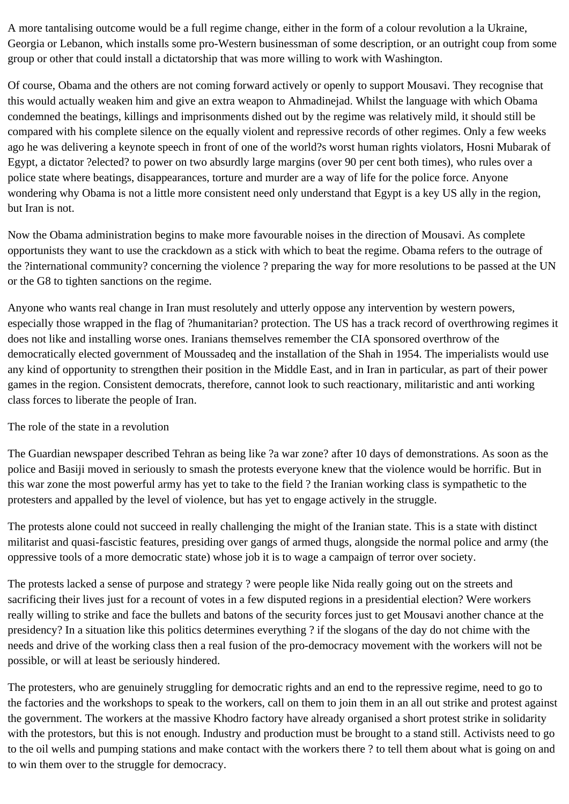A more tantalising outcome would be a full regime change, either in the form of a colour revolution a la Ukraine, Georgia or Lebanon, which installs some pro-Western businessman of some description, or an outright coup from some group or other that could install a dictatorship that was more willing to work with Washington.

Of course, Obama and the others are not coming forward actively or openly to support Mousavi. They recognise that this would actually weaken him and give an extra weapon to Ahmadinejad. Whilst the language with which Obama condemned the beatings, killings and imprisonments dished out by the regime was relatively mild, it should still be compared with his complete silence on the equally violent and repressive records of other regimes. Only a few weeks ago he was delivering a keynote speech in front of one of the world?s worst human rights violators, Hosni Mubarak of Egypt, a dictator ?elected? to power on two absurdly large margins (over 90 per cent both times), who rules over a police state where beatings, disappearances, torture and murder are a way of life for the police force. Anyone wondering why Obama is not a little more consistent need only understand that Egypt is a key US ally in the region, but Iran is not.

Now the Obama administration begins to make more favourable noises in the direction of Mousavi. As complete opportunists they want to use the crackdown as a stick with which to beat the regime. Obama refers to the outrage of the ?international community? concerning the violence ? preparing the way for more resolutions to be passed at the UN or the G8 to tighten sanctions on the regime.

Anyone who wants real change in Iran must resolutely and utterly oppose any intervention by western powers, especially those wrapped in the flag of ?humanitarian? protection. The US has a track record of overthrowing regimes it does not like and installing worse ones. Iranians themselves remember the CIA sponsored overthrow of the democratically elected government of Moussadeq and the installation of the Shah in 1954. The imperialists would use any kind of opportunity to strengthen their position in the Middle East, and in Iran in particular, as part of their power games in the region. Consistent democrats, therefore, cannot look to such reactionary, militaristic and anti working class forces to liberate the people of Iran.

## The role of the state in a revolution

The Guardian newspaper described Tehran as being like ?a war zone? after 10 days of demonstrations. As soon as the police and Basiji moved in seriously to smash the protests everyone knew that the violence would be horrific. But in this war zone the most powerful army has yet to take to the field ? the Iranian working class is sympathetic to the protesters and appalled by the level of violence, but has yet to engage actively in the struggle.

The protests alone could not succeed in really challenging the might of the Iranian state. This is a state with distinct militarist and quasi-fascistic features, presiding over gangs of armed thugs, alongside the normal police and army (the oppressive tools of a more democratic state) whose job it is to wage a campaign of terror over society.

The protests lacked a sense of purpose and strategy ? were people like Nida really going out on the streets and sacrificing their lives just for a recount of votes in a few disputed regions in a presidential election? Were workers really willing to strike and face the bullets and batons of the security forces just to get Mousavi another chance at the presidency? In a situation like this politics determines everything ? if the slogans of the day do not chime with the needs and drive of the working class then a real fusion of the pro-democracy movement with the workers will not be possible, or will at least be seriously hindered.

The protesters, who are genuinely struggling for democratic rights and an end to the repressive regime, need to go to the factories and the workshops to speak to the workers, call on them to join them in an all out strike and protest against the government. The workers at the massive Khodro factory have already organised a short protest strike in solidarity with the protestors, but this is not enough. Industry and production must be brought to a stand still. Activists need to go to the oil wells and pumping stations and make contact with the workers there ? to tell them about what is going on and to win them over to the struggle for democracy.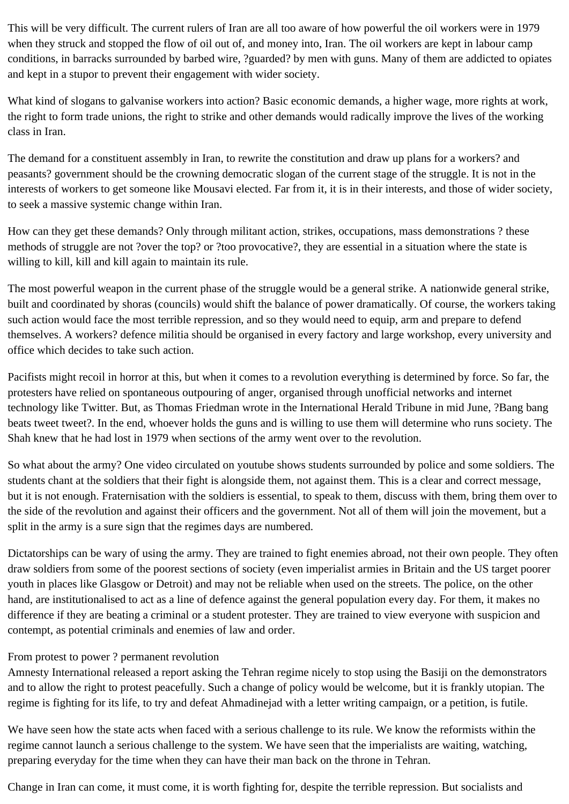This will be very difficult. The current rulers of Iran are all too aware of how powerful the oil workers were in 1979 when they struck and stopped the flow of oil out of, and money into, Iran. The oil workers are kept in labour camp conditions, in barracks surrounded by barbed wire, ?guarded? by men with guns. Many of them are addicted to opiates and kept in a stupor to prevent their engagement with wider society.

What kind of slogans to galvanise workers into action? Basic economic demands, a higher wage, more rights at work, the right to form trade unions, the right to strike and other demands would radically improve the lives of the working class in Iran.

The demand for a constituent assembly in Iran, to rewrite the constitution and draw up plans for a workers? and peasants? government should be the crowning democratic slogan of the current stage of the struggle. It is not in the interests of workers to get someone like Mousavi elected. Far from it, it is in their interests, and those of wider society, to seek a massive systemic change within Iran.

How can they get these demands? Only through militant action, strikes, occupations, mass demonstrations ? these methods of struggle are not ?over the top? or ?too provocative?, they are essential in a situation where the state is willing to kill, kill and kill again to maintain its rule.

The most powerful weapon in the current phase of the struggle would be a general strike. A nationwide general strike, built and coordinated by shoras (councils) would shift the balance of power dramatically. Of course, the workers taking such action would face the most terrible repression, and so they would need to equip, arm and prepare to defend themselves. A workers? defence militia should be organised in every factory and large workshop, every university and office which decides to take such action.

Pacifists might recoil in horror at this, but when it comes to a revolution everything is determined by force. So far, the protesters have relied on spontaneous outpouring of anger, organised through unofficial networks and internet technology like Twitter. But, as Thomas Friedman wrote in the International Herald Tribune in mid June, ?Bang bang beats tweet tweet?. In the end, whoever holds the guns and is willing to use them will determine who runs society. The Shah knew that he had lost in 1979 when sections of the army went over to the revolution.

So what about the army? One video circulated on youtube shows students surrounded by police and some soldiers. The students chant at the soldiers that their fight is alongside them, not against them. This is a clear and correct message, but it is not enough. Fraternisation with the soldiers is essential, to speak to them, discuss with them, bring them over to the side of the revolution and against their officers and the government. Not all of them will join the movement, but a split in the army is a sure sign that the regimes days are numbered.

Dictatorships can be wary of using the army. They are trained to fight enemies abroad, not their own people. They often draw soldiers from some of the poorest sections of society (even imperialist armies in Britain and the US target poorer youth in places like Glasgow or Detroit) and may not be reliable when used on the streets. The police, on the other hand, are institutionalised to act as a line of defence against the general population every day. For them, it makes no difference if they are beating a criminal or a student protester. They are trained to view everyone with suspicion and contempt, as potential criminals and enemies of law and order.

## From protest to power ? permanent revolution

Amnesty International released a report asking the Tehran regime nicely to stop using the Basiji on the demonstrators and to allow the right to protest peacefully. Such a change of policy would be welcome, but it is frankly utopian. The regime is fighting for its life, to try and defeat Ahmadinejad with a letter writing campaign, or a petition, is futile.

We have seen how the state acts when faced with a serious challenge to its rule. We know the reformists within the regime cannot launch a serious challenge to the system. We have seen that the imperialists are waiting, watching, preparing everyday for the time when they can have their man back on the throne in Tehran.

Change in Iran can come, it must come, it is worth fighting for, despite the terrible repression. But socialists and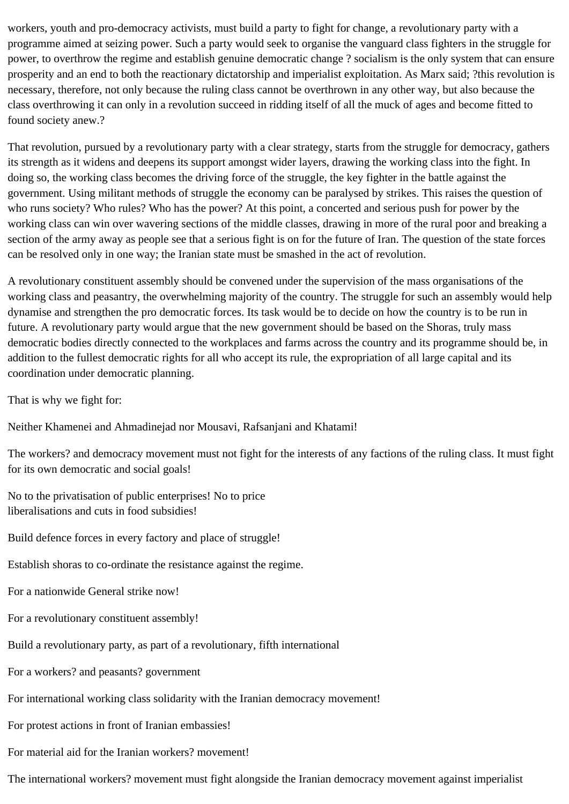workers, youth and pro-democracy activists, must build a party to fight for change, a revolutionary party with a programme aimed at seizing power. Such a party would seek to organise the vanguard class fighters in the struggle for power, to overthrow the regime and establish genuine democratic change ? socialism is the only system that can ensure prosperity and an end to both the reactionary dictatorship and imperialist exploitation. As Marx said; ?this revolution is necessary, therefore, not only because the ruling class cannot be overthrown in any other way, but also because the class overthrowing it can only in a revolution succeed in ridding itself of all the muck of ages and become fitted to found society anew.?

That revolution, pursued by a revolutionary party with a clear strategy, starts from the struggle for democracy, gathers its strength as it widens and deepens its support amongst wider layers, drawing the working class into the fight. In doing so, the working class becomes the driving force of the struggle, the key fighter in the battle against the government. Using militant methods of struggle the economy can be paralysed by strikes. This raises the question of who runs society? Who rules? Who has the power? At this point, a concerted and serious push for power by the working class can win over wavering sections of the middle classes, drawing in more of the rural poor and breaking a section of the army away as people see that a serious fight is on for the future of Iran. The question of the state forces can be resolved only in one way; the Iranian state must be smashed in the act of revolution.

A revolutionary constituent assembly should be convened under the supervision of the mass organisations of the working class and peasantry, the overwhelming majority of the country. The struggle for such an assembly would help dynamise and strengthen the pro democratic forces. Its task would be to decide on how the country is to be run in future. A revolutionary party would argue that the new government should be based on the Shoras, truly mass democratic bodies directly connected to the workplaces and farms across the country and its programme should be, in addition to the fullest democratic rights for all who accept its rule, the expropriation of all large capital and its coordination under democratic planning.

That is why we fight for:

Neither Khamenei and Ahmadinejad nor Mousavi, Rafsanjani and Khatami!

The workers? and democracy movement must not fight for the interests of any factions of the ruling class. It must fight for its own democratic and social goals!

No to the privatisation of public enterprises! No to price liberalisations and cuts in food subsidies!

Build defence forces in every factory and place of struggle!

Establish shoras to co-ordinate the resistance against the regime.

For a nationwide General strike now!

For a revolutionary constituent assembly!

Build a revolutionary party, as part of a revolutionary, fifth international

For a workers? and peasants? government

For international working class solidarity with the Iranian democracy movement!

For protest actions in front of Iranian embassies!

For material aid for the Iranian workers? movement!

The international workers? movement must fight alongside the Iranian democracy movement against imperialist